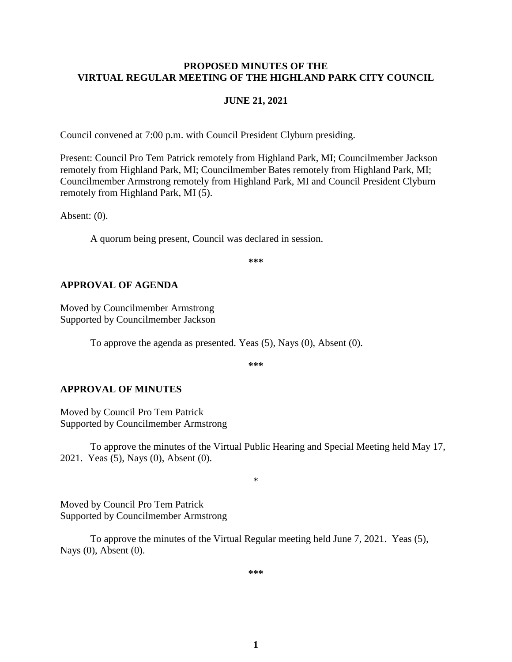#### **PROPOSED MINUTES OF THE VIRTUAL REGULAR MEETING OF THE HIGHLAND PARK CITY COUNCIL**

#### **JUNE 21, 2021**

Council convened at 7:00 p.m. with Council President Clyburn presiding.

Present: Council Pro Tem Patrick remotely from Highland Park, MI; Councilmember Jackson remotely from Highland Park, MI; Councilmember Bates remotely from Highland Park, MI; Councilmember Armstrong remotely from Highland Park, MI and Council President Clyburn remotely from Highland Park, MI (5).

Absent: (0).

A quorum being present, Council was declared in session.

**\*\*\***

#### **APPROVAL OF AGENDA**

Moved by Councilmember Armstrong Supported by Councilmember Jackson

To approve the agenda as presented. Yeas (5), Nays (0), Absent (0).

**\*\*\***

#### **APPROVAL OF MINUTES**

Moved by Council Pro Tem Patrick Supported by Councilmember Armstrong

To approve the minutes of the Virtual Public Hearing and Special Meeting held May 17, 2021.Yeas (5), Nays (0), Absent (0).

\*

Moved by Council Pro Tem Patrick Supported by Councilmember Armstrong

To approve the minutes of the Virtual Regular meeting held June 7, 2021.Yeas (5), Nays (0), Absent (0).

**\*\*\***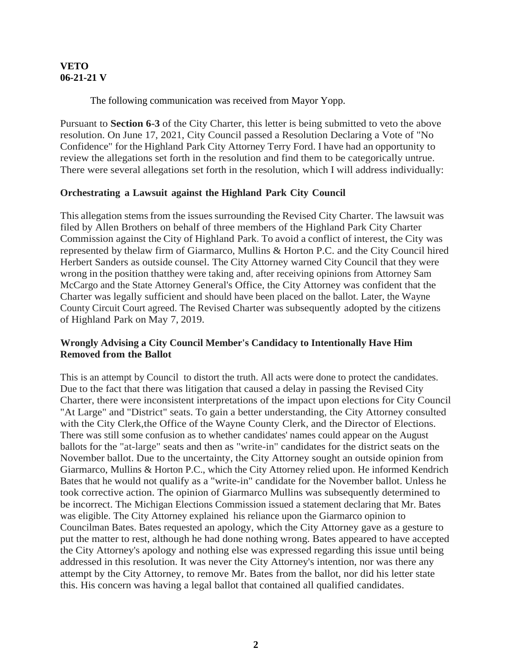#### **VETO 06-21-21 V**

The following communication was received from Mayor Yopp.

Pursuant to **Section 6-3** of the City Charter, this letter is being submitted to veto the above resolution. On June 17, 2021, City Council passed a Resolution Declaring a Vote of "No Confidence" for the Highland Park City Attorney Terry Ford. I have had an opportunity to review the allegations set forth in the resolution and find them to be categorically untrue. There were several allegations set forth in the resolution, which I will address individually:

#### **Orchestrating a Lawsuit against the Highland Park City Council**

This allegation stems from the issues surrounding the Revised City Charter. The lawsuit was filed by Allen Brothers on behalf of three members of the Highland Park City Charter Commission against the City of Highland Park. To avoid a conflict of interest, the City was represented by thelaw firm of Giarmarco, Mullins & Horton P.C. and the City Council hired Herbert Sanders as outside counsel. The City Attorney warned City Council that they were wrong in the position thatthey were taking and, after receiving opinions from Attorney Sam McCargo and the State Attorney General's Office, the City Attorney was confident that the Charter was legally sufficient and should have been placed on the ballot. Later, the Wayne County Circuit Court agreed. The Revised Charter was subsequently adopted by the citizens of Highland Park on May 7, 2019.

## **Wrongly Advising a City Council Member's Candidacy to Intentionally Have Him Removed from the Ballot**

This is an attempt by Council to distort the truth. All acts were done to protect the candidates. Due to the fact that there was litigation that caused a delay in passing the Revised City Charter, there were inconsistent interpretations of the impact upon elections for City Council "At Large" and "District" seats. To gain a better understanding, the City Attorney consulted with the City Clerk,the Office of the Wayne County Clerk, and the Director of Elections. There was still some confusion as to whether candidates' names could appear on the August ballots for the "at-large" seats and then as "write-in" candidates for the district seats on the November ballot. Due to the uncertainty, the City Attorney sought an outside opinion from Giarmarco, Mullins & Horton P.C., which the City Attorney relied upon. He informed Kendrich Bates that he would not qualify as a "write-in" candidate for the November ballot. Unless he took corrective action. The opinion of Giarmarco Mullins was subsequently determined to be incorrect. The Michigan Elections Commission issued a statement declaring that Mr. Bates was eligible. The City Attorney explained his reliance upon the Giarmarco opinion to Councilman Bates. Bates requested an apology, which the City Attorney gave as a gesture to put the matter to rest, although he had done nothing wrong. Bates appeared to have accepted the City Attorney's apology and nothing else was expressed regarding this issue until being addressed in this resolution. It was never the City Attorney's intention, nor was there any attempt by the City Attorney, to remove Mr. Bates from the ballot, nor did his letter state this. His concern was having a legal ballot that contained all qualified candidates.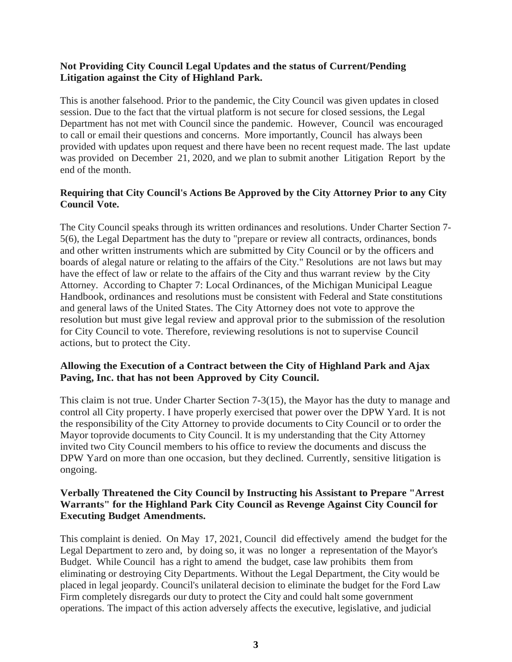# **Not Providing City Council Legal Updates and the status of Current/Pending Litigation against the City of Highland Park.**

This is another falsehood. Prior to the pandemic, the City Council was given updates in closed session. Due to the fact that the virtual platform is not secure for closed sessions, the Legal Department has not met with Council since the pandemic. However, Council was encouraged to call or email their questions and concerns. More importantly, Council has always been provided with updates upon request and there have been no recent request made. The last update was provided on December 21, 2020, and we plan to submit another Litigation Report by the end of the month.

# **Requiring that City Council's Actions Be Approved by the City Attorney Prior to any City Council Vote.**

The City Council speaks through its written ordinances and resolutions. Under Charter Section 7- 5(6), the Legal Department has the duty to "prepare or review all contracts, ordinances, bonds and other written instruments which are submitted by City Council or by the officers and boards of alegal nature or relating to the affairs of the City." Resolutions are not laws but may have the effect of law or relate to the affairs of the City and thus warrant review by the City Attorney. According to Chapter 7: Local Ordinances, of the Michigan Municipal League Handbook, ordinances and resolutions must be consistent with Federal and State constitutions and general laws of the United States. The City Attorney does not vote to approve the resolution but must give legal review and approval prior to the submission of the resolution for City Council to vote. Therefore, reviewing resolutions is not to supervise Council actions, but to protect the City.

# **Allowing the Execution of a Contract between the City of Highland Park and Ajax Paving, Inc. that has not been Approved by City Council.**

This claim is not true. Under Charter Section 7-3(15), the Mayor has the duty to manage and control all City property. I have properly exercised that power over the DPW Yard. It is not the responsibility of the City Attorney to provide documents to City Council or to order the Mayor toprovide documents to City Council. It is my understanding that the City Attorney invited two City Council members to his office to review the documents and discuss the DPW Yard on more than one occasion, but they declined. Currently, sensitive litigation is ongoing.

## **Verbally Threatened the City Council by Instructing his Assistant to Prepare "Arrest Warrants" for the Highland Park City Council as Revenge Against City Council for Executing Budget Amendments.**

This complaint is denied. On May 17, 2021, Council did effectively amend the budget for the Legal Department to zero and, by doing so, it was no longer a representation of the Mayor's Budget. While Council has a right to amend the budget, case law prohibits them from eliminating or destroying City Departments. Without the Legal Department, the City would be placed in legal jeopardy. Council's unilateral decision to eliminate the budget for the Ford Law Firm completely disregards our duty to protect the City and could halt some government operations. The impact of this action adversely affects the executive, legislative, and judicial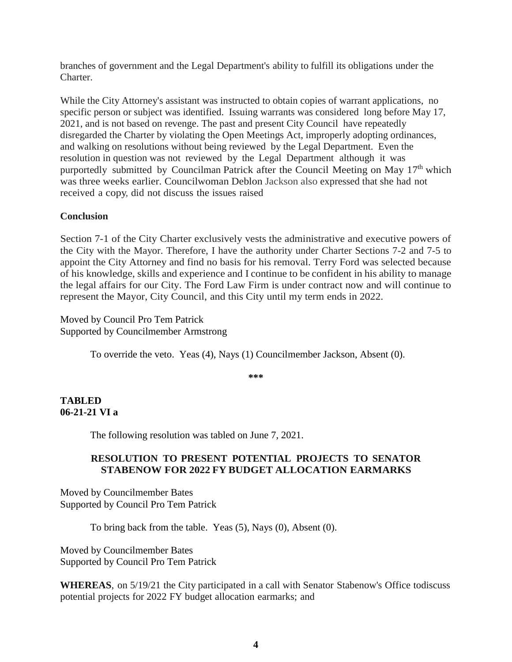branches of government and the Legal Department's ability to fulfill its obligations under the Charter.

While the City Attorney's assistant was instructed to obtain copies of warrant applications, no specific person or subject was identified. Issuing warrants was considered long before May 17, 2021, and is not based on revenge. The past and present City Council have repeatedly disregarded the Charter by violating the Open Meetings Act, improperly adopting ordinances, and walking on resolutions without being reviewed by the Legal Department. Even the resolution in question was not reviewed by the Legal Department although it was purportedly submitted by Councilman Patrick after the Council Meeting on May 17<sup>th</sup> which was three weeks earlier. Councilwoman Deblon Jackson also expressed that she had not received a copy, did not discuss the issues raised

## **Conclusion**

Section 7-1 of the City Charter exclusively vests the administrative and executive powers of the City with the Mayor. Therefore, I have the authority under Charter Sections 7-2 and 7-5 to appoint the City Attorney and find no basis for his removal. Terry Ford was selected because of his knowledge, skills and experience and I continue to be confident in his ability to manage the legal affairs for our City. The Ford Law Firm is under contract now and will continue to represent the Mayor, City Council, and this City until my term ends in 2022.

Moved by Council Pro Tem Patrick Supported by Councilmember Armstrong

To override the veto. Yeas (4), Nays (1) Councilmember Jackson, Absent (0).

**\*\*\***

## **TABLED 06-21-21 VI a**

The following resolution was tabled on June 7, 2021.

# **RESOLUTION TO PRESENT POTENTIAL PROJECTS TO SENATOR STABENOW FOR 2022 FY BUDGET ALLOCATION EARMARKS**

Moved by Councilmember Bates Supported by Council Pro Tem Patrick

To bring back from the table. Yeas (5), Nays (0), Absent (0).

Moved by Councilmember Bates Supported by Council Pro Tem Patrick

**WHEREAS**, on 5/19/21 the City participated in a call with Senator Stabenow's Office todiscuss potential projects for 2022 FY budget allocation earmarks; and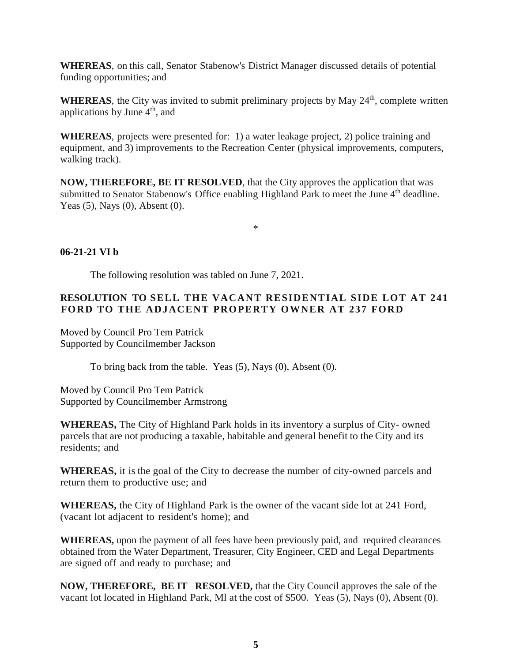**WHEREAS**, on this call, Senator Stabenow's District Manager discussed details of potential funding opportunities; and

WHEREAS, the City was invited to submit preliminary projects by May 24<sup>th</sup>, complete written applications by June  $4<sup>th</sup>$ , and

**WHEREAS**, projects were presented for: 1) a water leakage project, 2) police training and equipment, and 3) improvements to the Recreation Center (physical improvements, computers, walking track).

**NOW, THEREFORE, BE IT RESOLVED**, that the City approves the application that was submitted to Senator Stabenow's Office enabling Highland Park to meet the June 4<sup>th</sup> deadline. Yeas (5), Nays (0), Absent (0).

\*

**06-21-21 VI b**

The following resolution was tabled on June 7, 2021.

## **RESOLUTION TO SELL THE VACANT RESIDENTIAL SIDE LOT AT 241 FORD TO THE ADJACENT PROPERTY OWNER AT 237 FORD**

Moved by Council Pro Tem Patrick Supported by Councilmember Jackson

To bring back from the table. Yeas (5), Nays (0), Absent (0).

Moved by Council Pro Tem Patrick Supported by Councilmember Armstrong

**WHEREAS,** The City of Highland Park holds in its inventory a surplus of City- owned parcels that are not producing a taxable, habitable and general benefit to the City and its residents; and

**WHEREAS,** it is the goal of the City to decrease the number of city-owned parcels and return them to productive use; and

**WHEREAS,** the City of Highland Park is the owner of the vacant side lot at 241 Ford, (vacant lot adjacent to resident's home); and

**WHEREAS,** upon the payment of all fees have been previously paid, and required clearances obtained from the Water Department, Treasurer, City Engineer, CED and Legal Departments are signed off and ready to purchase; and

**NOW, THEREFORE, BE IT RESOLVED,** that the City Council approves the sale of the vacant lot located in Highland Park, Ml at the cost of \$500. Yeas (5), Nays (0), Absent (0).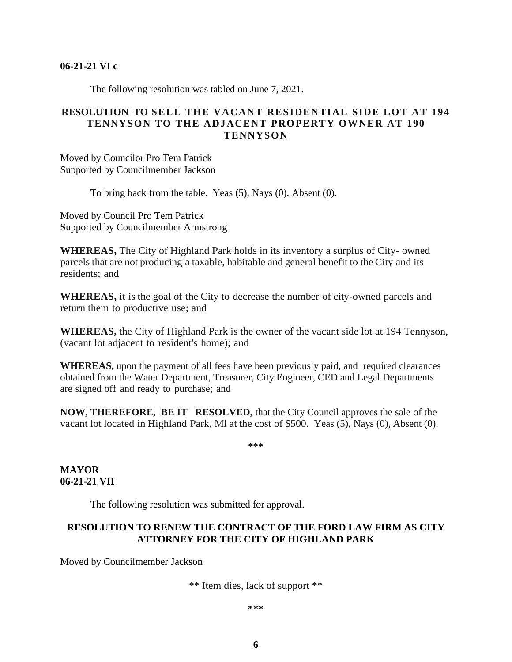#### **06-21-21 VI c**

The following resolution was tabled on June 7, 2021.

#### **RESOLUTION TO SELL THE VACANT RESIDENTIAL SIDE LOT AT 194 TENNYSON TO THE ADJACENT PROPERTY OWNER AT 190 TENNYSON**

Moved by Councilor Pro Tem Patrick Supported by Councilmember Jackson

To bring back from the table. Yeas (5), Nays (0), Absent (0).

Moved by Council Pro Tem Patrick Supported by Councilmember Armstrong

**WHEREAS,** The City of Highland Park holds in its inventory a surplus of City- owned parcels that are not producing a taxable, habitable and general benefit to the City and its residents; and

**WHEREAS,** it is the goal of the City to decrease the number of city-owned parcels and return them to productive use; and

**WHEREAS,** the City of Highland Park is the owner of the vacant side lot at 194 Tennyson, (vacant lot adjacent to resident's home); and

**WHEREAS,** upon the payment of all fees have been previously paid, and required clearances obtained from the Water Department, Treasurer, City Engineer, CED and Legal Departments are signed off and ready to purchase; and

**NOW, THEREFORE, BE IT RESOLVED,** that the City Council approves the sale of the vacant lot located in Highland Park, Ml at the cost of \$500. Yeas (5), Nays (0), Absent (0).

**\*\*\***

**MAYOR 06-21-21 VII** 

The following resolution was submitted for approval.

## **RESOLUTION TO RENEW THE CONTRACT OF THE FORD LAW FIRM AS CITY ATTORNEY FOR THE CITY OF HIGHLAND PARK**

Moved by Councilmember Jackson

\*\* Item dies, lack of support \*\*

#### **\*\*\***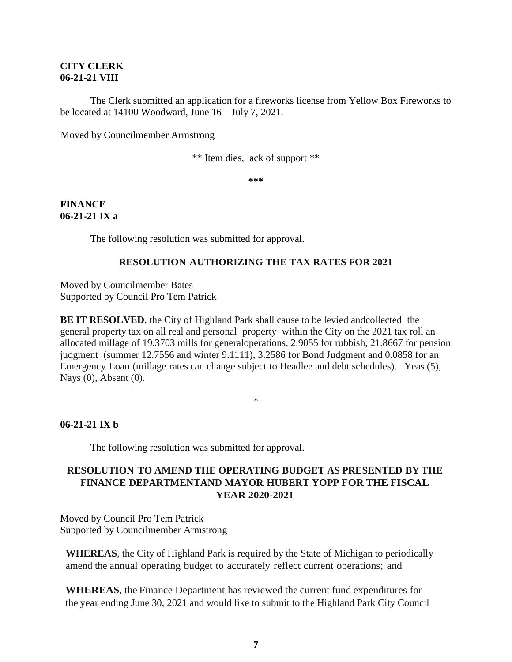#### **CITY CLERK 06-21-21 VIII**

The Clerk submitted an application for a fireworks license from Yellow Box Fireworks to be located at 14100 Woodward, June 16 – July 7, 2021.

Moved by Councilmember Armstrong

\*\* Item dies, lack of support \*\*

**\*\*\***

#### **FINANCE 06-21-21 IX a**

The following resolution was submitted for approval.

## **RESOLUTION AUTHORIZING THE TAX RATES FOR 2021**

Moved by Councilmember Bates Supported by Council Pro Tem Patrick

**BE IT RESOLVED**, the City of Highland Park shall cause to be levied and collected the general property tax on all real and personal property within the City on the 2021 tax roll an allocated millage of 19.3703 mills for generaloperations, 2.9055 for rubbish, 21.8667 for pension judgment (summer 12.7556 and winter 9.1111), 3.2586 for Bond Judgment and 0.0858 for an Emergency Loan (millage rates can change subject to Headlee and debt schedules). Yeas (5), Nays (0), Absent (0).

\*

#### **06-21-21 IX b**

The following resolution was submitted for approval.

# **RESOLUTION TO AMEND THE OPERATING BUDGET AS PRESENTED BY THE FINANCE DEPARTMENTAND MAYOR HUBERT YOPP FOR THE FISCAL YEAR 2020-2021**

Moved by Council Pro Tem Patrick Supported by Councilmember Armstrong

**WHEREAS**, the City of Highland Park is required by the State of Michigan to periodically amend the annual operating budget to accurately reflect current operations; and

**WHEREAS**, the Finance Department has reviewed the current fund expenditures for the year ending June 30, 2021 and would like to submit to the Highland Park City Council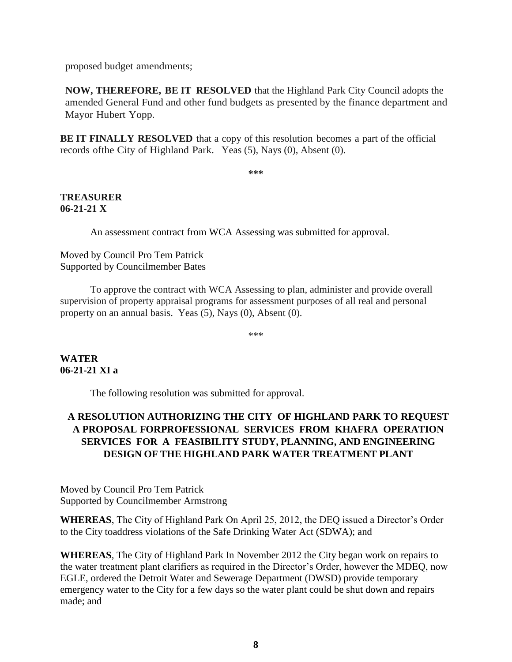proposed budget amendments;

**NOW, THEREFORE, BE IT RESOLVED** that the Highland Park City Council adopts the amended General Fund and other fund budgets as presented by the finance department and Mayor Hubert Yopp.

**BE IT FINALLY RESOLVED** that a copy of this resolution becomes a part of the official records ofthe City of Highland Park. Yeas (5), Nays (0), Absent (0).

**\*\*\***

## **TREASURER 06-21-21 X**

An assessment contract from WCA Assessing was submitted for approval.

Moved by Council Pro Tem Patrick Supported by Councilmember Bates

To approve the contract with WCA Assessing to plan, administer and provide overall supervision of property appraisal programs for assessment purposes of all real and personal property on an annual basis. Yeas (5), Nays (0), Absent (0).

\*\*\*

**WATER 06-21-21 XI a**

The following resolution was submitted for approval.

# **A RESOLUTION AUTHORIZING THE CITY OF HIGHLAND PARK TO REQUEST A PROPOSAL FORPROFESSIONAL SERVICES FROM KHAFRA OPERATION SERVICES FOR A FEASIBILITY STUDY, PLANNING, AND ENGINEERING DESIGN OF THE HIGHLAND PARK WATER TREATMENT PLANT**

Moved by Council Pro Tem Patrick Supported by Councilmember Armstrong

**WHEREAS**, The City of Highland Park On April 25, 2012, the DEQ issued a Director's Order to the City toaddress violations of the Safe Drinking Water Act (SDWA); and

**WHEREAS**, The City of Highland Park In November 2012 the City began work on repairs to the water treatment plant clarifiers as required in the Director's Order, however the MDEQ, now EGLE, ordered the Detroit Water and Sewerage Department (DWSD) provide temporary emergency water to the City for a few days so the water plant could be shut down and repairs made; and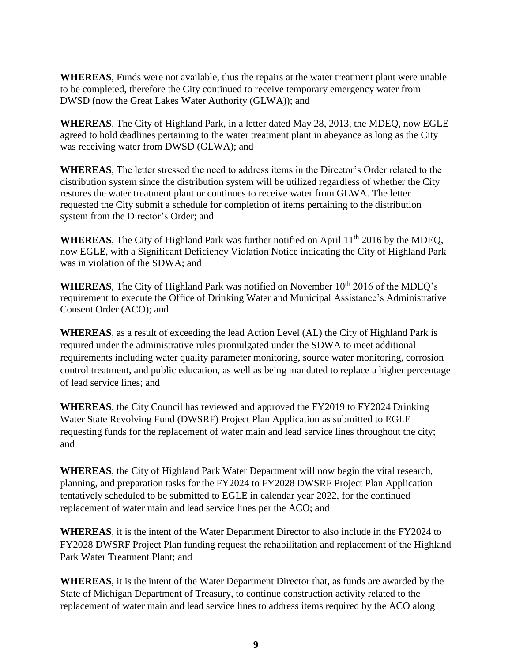**WHEREAS**, Funds were not available, thus the repairs at the water treatment plant were unable to be completed, therefore the City continued to receive temporary emergency water from DWSD (now the Great Lakes Water Authority (GLWA)); and

**WHEREAS**, The City of Highland Park, in a letter dated May 28, 2013, the MDEQ, now EGLE agreed to hold deadlines pertaining to the water treatment plant in abeyance as long as the City was receiving water from DWSD (GLWA); and

**WHEREAS**, The letter stressed the need to address items in the Director's Order related to the distribution system since the distribution system will be utilized regardless of whether the City restores the water treatment plant or continues to receive water from GLWA. The letter requested the City submit a schedule for completion of items pertaining to the distribution system from the Director's Order; and

WHEREAS, The City of Highland Park was further notified on April 11<sup>th</sup> 2016 by the MDEQ, now EGLE, with a Significant Deficiency Violation Notice indicating the City of Highland Park was in violation of the SDWA; and

**WHEREAS**, The City of Highland Park was notified on November 10<sup>th</sup> 2016 of the MDEO's requirement to execute the Office of Drinking Water and Municipal Assistance's Administrative Consent Order (ACO); and

**WHEREAS**, as a result of exceeding the lead Action Level (AL) the City of Highland Park is required under the administrative rules promulgated under the SDWA to meet additional requirements including water quality parameter monitoring, source water monitoring, corrosion control treatment, and public education, as well as being mandated to replace a higher percentage of lead service lines; and

**WHEREAS**, the City Council has reviewed and approved the FY2019 to FY2024 Drinking Water State Revolving Fund (DWSRF) Project Plan Application as submitted to EGLE requesting funds for the replacement of water main and lead service lines throughout the city; and

**WHEREAS**, the City of Highland Park Water Department will now begin the vital research, planning, and preparation tasks for the FY2024 to FY2028 DWSRF Project Plan Application tentatively scheduled to be submitted to EGLE in calendar year 2022, for the continued replacement of water main and lead service lines per the ACO; and

**WHEREAS**, it is the intent of the Water Department Director to also include in the FY2024 to FY2028 DWSRF Project Plan funding request the rehabilitation and replacement of the Highland Park Water Treatment Plant; and

**WHEREAS**, it is the intent of the Water Department Director that, as funds are awarded by the State of Michigan Department of Treasury, to continue construction activity related to the replacement of water main and lead service lines to address items required by the ACO along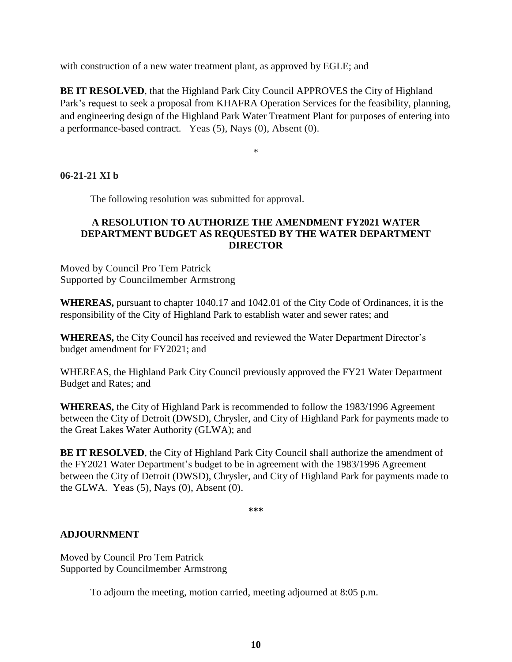with construction of a new water treatment plant, as approved by EGLE; and

**BE IT RESOLVED**, that the Highland Park City Council APPROVES the City of Highland Park's request to seek a proposal from KHAFRA Operation Services for the feasibility, planning, and engineering design of the Highland Park Water Treatment Plant for purposes of entering into a performance-based contract. Yeas (5), Nays (0), Absent (0).

\*

## **06-21-21 XI b**

The following resolution was submitted for approval.

## **A RESOLUTION TO AUTHORIZE THE AMENDMENT FY2021 WATER DEPARTMENT BUDGET AS REQUESTED BY THE WATER DEPARTMENT DIRECTOR**

Moved by Council Pro Tem Patrick Supported by Councilmember Armstrong

**WHEREAS,** pursuant to chapter 1040.17 and 1042.01 of the City Code of Ordinances, it is the responsibility of the City of Highland Park to establish water and sewer rates; and

**WHEREAS,** the City Council has received and reviewed the Water Department Director's budget amendment for FY2021; and

WHEREAS, the Highland Park City Council previously approved the FY21 Water Department Budget and Rates; and

**WHEREAS,** the City of Highland Park is recommended to follow the 1983/1996 Agreement between the City of Detroit (DWSD), Chrysler, and City of Highland Park for payments made to the Great Lakes Water Authority (GLWA); and

**BE IT RESOLVED**, the City of Highland Park City Council shall authorize the amendment of the FY2021 Water Department's budget to be in agreement with the 1983/1996 Agreement between the City of Detroit (DWSD), Chrysler, and City of Highland Park for payments made to the GLWA. Yeas  $(5)$ , Nays  $(0)$ , Absent  $(0)$ .

**\*\*\***

#### **ADJOURNMENT**

Moved by Council Pro Tem Patrick Supported by Councilmember Armstrong

To adjourn the meeting, motion carried, meeting adjourned at 8:05 p.m.